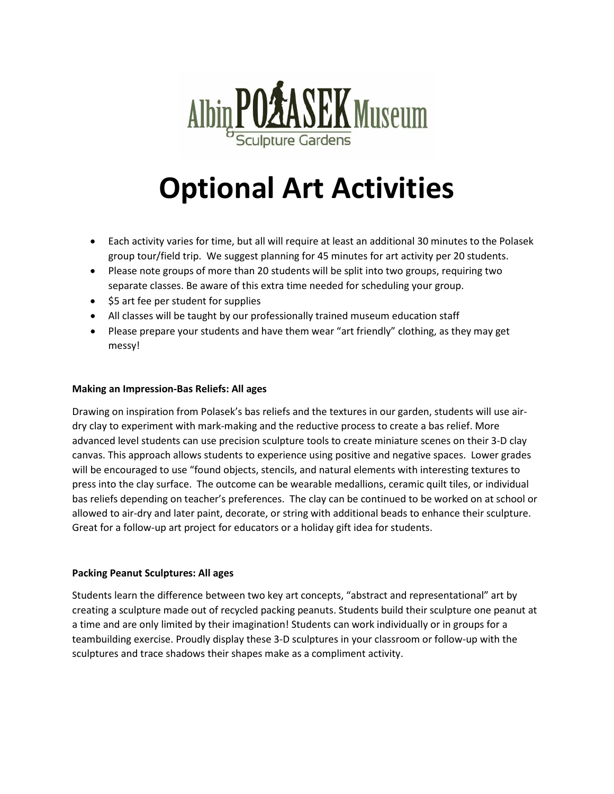

# **Optional Art Activities**

- Each activity varies for time, but all will require at least an additional 30 minutes to the Polasek group tour/field trip. We suggest planning for 45 minutes for art activity per 20 students.
- Please note groups of more than 20 students will be split into two groups, requiring two separate classes. Be aware of this extra time needed for scheduling your group.
- \$5 art fee per student for supplies
- All classes will be taught by our professionally trained museum education staff
- Please prepare your students and have them wear "art friendly" clothing, as they may get messy!

## **Making an Impression-Bas Reliefs: All ages**

Drawing on inspiration from Polasek's bas reliefs and the textures in our garden, students will use airdry clay to experiment with mark-making and the reductive process to create a bas relief. More advanced level students can use precision sculpture tools to create miniature scenes on their 3-D clay canvas. This approach allows students to experience using positive and negative spaces. Lower grades will be encouraged to use "found objects, stencils, and natural elements with interesting textures to press into the clay surface. The outcome can be wearable medallions, ceramic quilt tiles, or individual bas reliefs depending on teacher's preferences. The clay can be continued to be worked on at school or allowed to air-dry and later paint, decorate, or string with additional beads to enhance their sculpture. Great for a follow-up art project for educators or a holiday gift idea for students.

## **Packing Peanut Sculptures: All ages**

Students learn the difference between two key art concepts, "abstract and representational" art by creating a sculpture made out of recycled packing peanuts. Students build their sculpture one peanut at a time and are only limited by their imagination! Students can work individually or in groups for a teambuilding exercise. Proudly display these 3-D sculptures in your classroom or follow-up with the sculptures and trace shadows their shapes make as a compliment activity.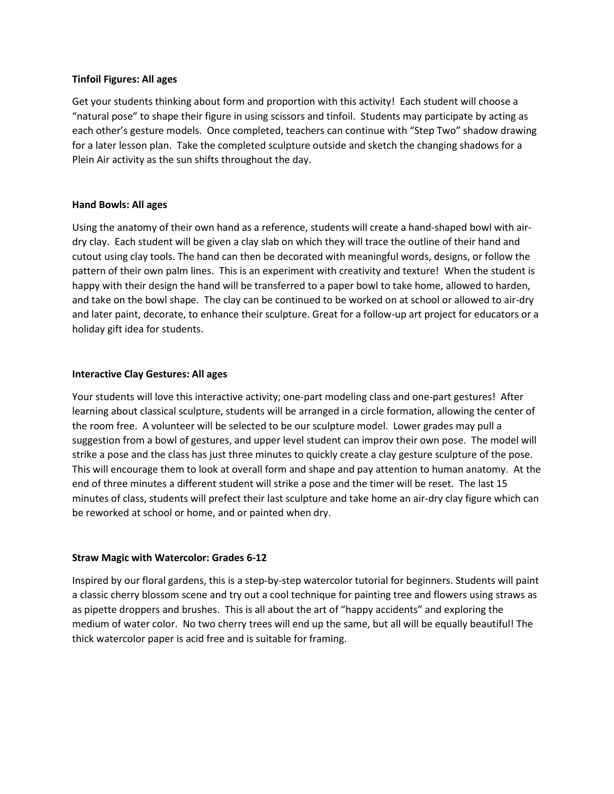#### **Tinfoil Figures: All ages**

Get your students thinking about form and proportion with this activity! Each student will choose a "natural pose" to shape their figure in using scissors and tinfoil. Students may participate by acting as each other's gesture models. Once completed, teachers can continue with "Step Two" shadow drawing for a later lesson plan. Take the completed sculpture outside and sketch the changing shadows for a Plein Air activity as the sun shifts throughout the day.

## **Hand Bowls: All ages**

Using the anatomy of their own hand as a reference, students will create a hand-shaped bowl with airdry clay. Each student will be given a clay slab on which they will trace the outline of their hand and cutout using clay tools. The hand can then be decorated with meaningful words, designs, or follow the pattern of their own palm lines. This is an experiment with creativity and texture! When the student is happy with their design the hand will be transferred to a paper bowl to take home, allowed to harden, and take on the bowl shape. The clay can be continued to be worked on at school or allowed to air-dry and later paint, decorate, to enhance their sculpture. Great for a follow-up art project for educators or a holiday gift idea for students.

## **Interactive Clay Gestures: All ages**

Your students will love this interactive activity; one-part modeling class and one-part gestures! After learning about classical sculpture, students will be arranged in a circle formation, allowing the center of the room free. A volunteer will be selected to be our sculpture model. Lower grades may pull a suggestion from a bowl of gestures, and upper level student can improv their own pose. The model will strike a pose and the class has just three minutes to quickly create a clay gesture sculpture of the pose. This will encourage them to look at overall form and shape and pay attention to human anatomy. At the end of three minutes a different student will strike a pose and the timer will be reset. The last 15 minutes of class, students will prefect their last sculpture and take home an air-dry clay figure which can be reworked at school or home, and or painted when dry.

## **Straw Magic with Watercolor: Grades 6-12**

Inspired by our floral gardens, this is a step-by-step watercolor tutorial for beginners. Students will paint a classic cherry blossom scene and try out a cool technique for painting tree and flowers using straws as as pipette droppers and brushes. This is all about the art of "happy accidents" and exploring the medium of water color. No two cherry trees will end up the same, but all will be equally beautiful! The thick watercolor paper is acid free and is suitable for framing.